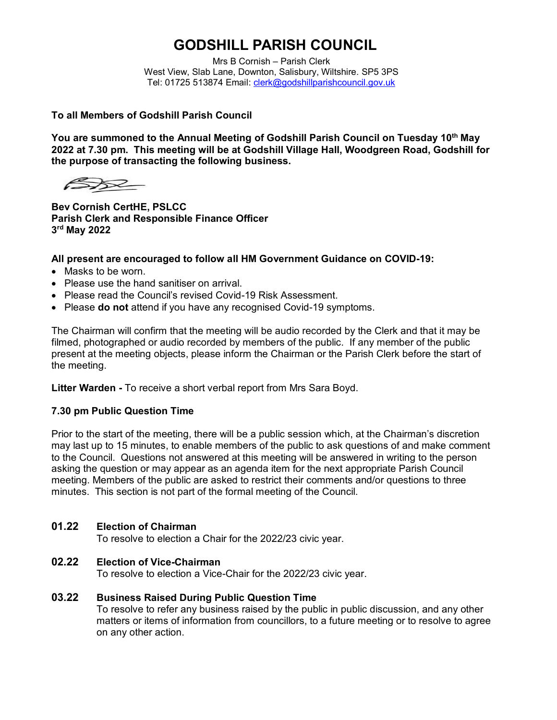# **GODSHILL PARISH COUNCIL**

Mrs B Cornish – Parish Clerk West View, Slab Lane, Downton, Salisbury, Wiltshire. SP5 3PS Tel: 01725 513874 Email: [clerk@godshillparishcouncil.gov.uk](mailto:clerk@godshillparishcouncil.gov.uk)

### **To all Members of Godshill Parish Council**

**You are summoned to the Annual Meeting of Godshill Parish Council on Tuesday 10th May 2022 at 7.30 pm. This meeting will be at Godshill Village Hall, Woodgreen Road, Godshill for the purpose of transacting the following business.**

 $\cancel{\infty}$ 

**Bev Cornish CertHE, PSLCC Parish Clerk and Responsible Finance Officer 3 rd May 2022**

### **All present are encouraged to follow all HM Government Guidance on COVID-19:**

- Masks to be worn.
- Please use the hand sanitiser on arrival.
- Please read the Council's revised Covid-19 Risk Assessment.
- Please **do not** attend if you have any recognised Covid-19 symptoms.

The Chairman will confirm that the meeting will be audio recorded by the Clerk and that it may be filmed, photographed or audio recorded by members of the public. If any member of the public present at the meeting objects, please inform the Chairman or the Parish Clerk before the start of the meeting.

**Litter Warden -** To receive a short verbal report from Mrs Sara Boyd.

### **7.30 pm Public Question Time**

Prior to the start of the meeting, there will be a public session which, at the Chairman's discretion may last up to 15 minutes, to enable members of the public to ask questions of and make comment to the Council. Questions not answered at this meeting will be answered in writing to the person asking the question or may appear as an agenda item for the next appropriate Parish Council meeting. Members of the public are asked to restrict their comments and/or questions to three minutes. This section is not part of the formal meeting of the Council.

# **01.22 Election of Chairman**

To resolve to election a Chair for the 2022/23 civic year.

# **02.22 Election of Vice-Chairman**

To resolve to election a Vice-Chair for the 2022/23 civic year.

### **03.22 Business Raised During Public Question Time**

To resolve to refer any business raised by the public in public discussion, and any other matters or items of information from councillors, to a future meeting or to resolve to agree on any other action.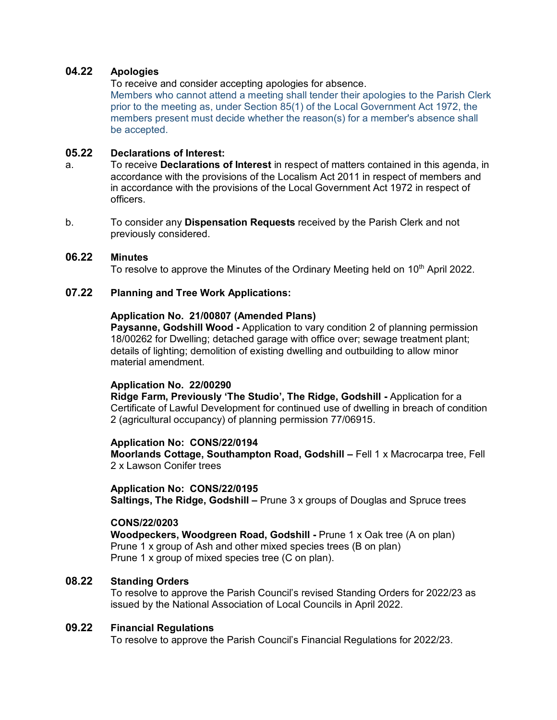## **04.22 Apologies**

To receive and consider accepting apologies for absence.

Members who cannot attend a meeting shall tender their apologies to the Parish Clerk prior to the meeting as, under Section 85(1) of the Local Government Act 1972, the members present must decide whether the reason(s) for a member's absence shall be accepted.

### **05.22 Declarations of Interest:**

- a. To receive **Declarations of Interest** in respect of matters contained in this agenda, in accordance with the provisions of the Localism Act 2011 in respect of members and in accordance with the provisions of the Local Government Act 1972 in respect of officers.
- b. To consider any **Dispensation Requests** received by the Parish Clerk and not previously considered.

### **06.22 Minutes**

To resolve to approve the Minutes of the Ordinary Meeting held on 10<sup>th</sup> April 2022.

# **07.22 Planning and Tree Work Applications:**

### **Application No. 21/00807 (Amended Plans)**

**Paysanne, Godshill Wood -** Application to vary condition 2 of planning permission 18/00262 for Dwelling; detached garage with office over; sewage treatment plant; details of lighting; demolition of existing dwelling and outbuilding to allow minor material amendment.

### **Application No. 22/00290**

**Ridge Farm, Previously 'The Studio', The Ridge, Godshill -** Application for a Certificate of Lawful Development for continued use of dwelling in breach of condition 2 (agricultural occupancy) of planning permission 77/06915.

### **Application No: CONS/22/0194**

**Moorlands Cottage, Southampton Road, Godshill –** Fell 1 x Macrocarpa tree, Fell 2 x Lawson Conifer trees

### **Application No: CONS/22/0195**

**Saltings, The Ridge, Godshill –** Prune 3 x groups of Douglas and Spruce trees

### **CONS/22/0203**

**Woodpeckers, Woodgreen Road, Godshill -** Prune 1 x Oak tree (A on plan) Prune 1 x group of Ash and other mixed species trees (B on plan) Prune 1 x group of mixed species tree (C on plan).

# **08.22 Standing Orders**

To resolve to approve the Parish Council's revised Standing Orders for 2022/23 as issued by the National Association of Local Councils in April 2022.

# **09.22 Financial Regulations**

To resolve to approve the Parish Council's Financial Regulations for 2022/23.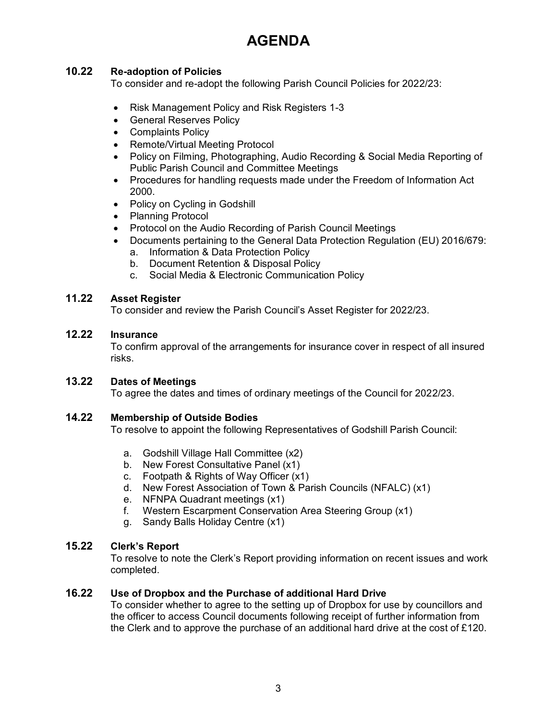# **AGENDA**

# **10.22 Re-adoption of Policies**

To consider and re-adopt the following Parish Council Policies for 2022/23:

- Risk Management Policy and Risk Registers 1-3
- **•** General Reserves Policy
- Complaints Policy
- Remote/Virtual Meeting Protocol
- Policy on Filming, Photographing, Audio Recording & Social Media Reporting of Public Parish Council and Committee Meetings
- Procedures for handling requests made under the Freedom of Information Act 2000.
- Policy on Cycling in Godshill
- Planning Protocol
- Protocol on the Audio Recording of Parish Council Meetings
- Documents pertaining to the General Data Protection Regulation (EU) 2016/679:
	- a. Information & Data Protection Policy
	- b. Document Retention & Disposal Policy
	- c. Social Media & Electronic Communication Policy

# **11.22 Asset Register**

To consider and review the Parish Council's Asset Register for 2022/23.

# **12.22 Insurance**

To confirm approval of the arrangements for insurance cover in respect of all insured risks.

# **13.22 Dates of Meetings**

To agree the dates and times of ordinary meetings of the Council for 2022/23.

# **14.22 Membership of Outside Bodies**

To resolve to appoint the following Representatives of Godshill Parish Council:

- a. Godshill Village Hall Committee (x2)
- b. New Forest Consultative Panel (x1)
- c. Footpath & Rights of Way Officer (x1)
- d. New Forest Association of Town & Parish Councils (NFALC) (x1)
- e. NFNPA Quadrant meetings (x1)
- f. Western Escarpment Conservation Area Steering Group (x1)
- g. Sandy Balls Holiday Centre (x1)

# **15.22 Clerk's Report**

To resolve to note the Clerk's Report providing information on recent issues and work completed.

# **16.22 Use of Dropbox and the Purchase of additional Hard Drive**

To consider whether to agree to the setting up of Dropbox for use by councillors and the officer to access Council documents following receipt of further information from the Clerk and to approve the purchase of an additional hard drive at the cost of £120.